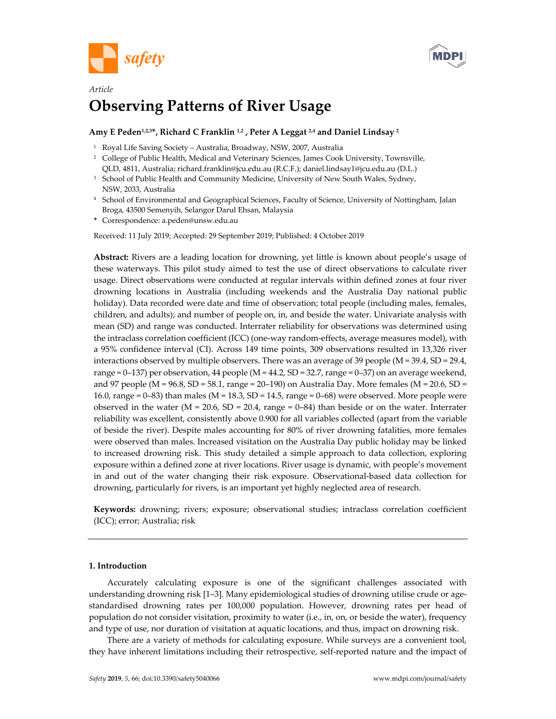



# *Article*  **Observing Patterns of River Usage**

## **Amy E Peden1,2,3\*, Richard C Franklin 1,2 , Peter A Leggat 2,4 and Daniel Lindsay 2**

- <sup>1</sup> Royal Life Saving Society Australia, Broadway, NSW, 2007, Australia
- 2 College of Public Health, Medical and Veterinary Sciences, James Cook University, Townsville, QLD, 4811, Australia; richard.franklin@jcu.edu.au (R.C.F.); daniel.lindsay1@jcu.edu.au (D.L.)
- <sup>3</sup> School of Public Health and Community Medicine, University of New South Wales, Sydney, NSW, 2033, Australia
- 4 School of Environmental and Geographical Sciences, Faculty of Science, University of Nottingham, Jalan Broga, 43500 Semenyih, Selangor Darul Ehsan, Malaysia
- **\*** Correspondence: a.peden@unsw.edu.au

Received: 11 July 2019; Accepted: 29 September 2019; Published: 4 October 2019

**Abstract:** Rivers are a leading location for drowning, yet little is known about people's usage of these waterways. This pilot study aimed to test the use of direct observations to calculate river usage. Direct observations were conducted at regular intervals within defined zones at four river drowning locations in Australia (including weekends and the Australia Day national public holiday). Data recorded were date and time of observation; total people (including males, females, children, and adults); and number of people on, in, and beside the water. Univariate analysis with mean (SD) and range was conducted. Interrater reliability for observations was determined using the intraclass correlation coefficient (ICC) (one-way random-effects, average measures model), with a 95% confidence interval (CI). Across 149 time points, 309 observations resulted in 13,326 river interactions observed by multiple observers. There was an average of 39 people (M = 39.4, SD = 29.4, range = 0–137) per observation, 44 people (M = 44.2, SD = 32.7, range = 0–37) on an average weekend, and 97 people ( $M = 96.8$ ,  $SD = 58.1$ , range = 20-190) on Australia Day. More females ( $M = 20.6$ ,  $SD =$ 16.0, range =  $0-83$ ) than males (M = 18.3, SD = 14.5, range =  $0-68$ ) were observed. More people were observed in the water ( $M = 20.6$ ,  $SD = 20.4$ , range = 0–84) than beside or on the water. Interrater reliability was excellent, consistently above 0.900 for all variables collected (apart from the variable of beside the river). Despite males accounting for 80% of river drowning fatalities, more females were observed than males. Increased visitation on the Australia Day public holiday may be linked to increased drowning risk. This study detailed a simple approach to data collection, exploring exposure within a defined zone at river locations. River usage is dynamic, with people's movement in and out of the water changing their risk exposure. Observational-based data collection for drowning, particularly for rivers, is an important yet highly neglected area of research.

**Keywords:** drowning; rivers; exposure; observational studies; intraclass correlation coefficient (ICC); error; Australia; risk

## **1. Introduction**

Accurately calculating exposure is one of the significant challenges associated with understanding drowning risk [1–3]. Many epidemiological studies of drowning utilise crude or agestandardised drowning rates per 100,000 population. However, drowning rates per head of population do not consider visitation, proximity to water (i.e., in, on, or beside the water), frequency and type of use, nor duration of visitation at aquatic locations, and thus, impact on drowning risk.

There are a variety of methods for calculating exposure. While surveys are a convenient tool, they have inherent limitations including their retrospective, self-reported nature and the impact of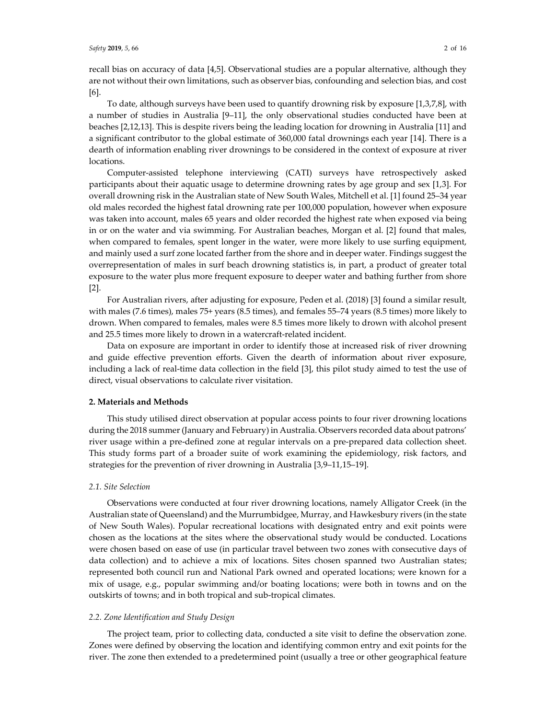recall bias on accuracy of data [4,5]. Observational studies are a popular alternative, although they are not without their own limitations, such as observer bias, confounding and selection bias, and cost [6].

To date, although surveys have been used to quantify drowning risk by exposure [1,3,7,8], with a number of studies in Australia [9–11], the only observational studies conducted have been at beaches [2,12,13]. This is despite rivers being the leading location for drowning in Australia [11] and a significant contributor to the global estimate of 360,000 fatal drownings each year [14]. There is a dearth of information enabling river drownings to be considered in the context of exposure at river locations.

Computer-assisted telephone interviewing (CATI) surveys have retrospectively asked participants about their aquatic usage to determine drowning rates by age group and sex [1,3]. For overall drowning risk in the Australian state of New South Wales, Mitchell et al. [1] found 25–34 year old males recorded the highest fatal drowning rate per 100,000 population, however when exposure was taken into account, males 65 years and older recorded the highest rate when exposed via being in or on the water and via swimming. For Australian beaches, Morgan et al. [2] found that males, when compared to females, spent longer in the water, were more likely to use surfing equipment, and mainly used a surf zone located farther from the shore and in deeper water. Findings suggest the overrepresentation of males in surf beach drowning statistics is, in part, a product of greater total exposure to the water plus more frequent exposure to deeper water and bathing further from shore [2].

For Australian rivers, after adjusting for exposure, Peden et al. (2018) [3] found a similar result, with males (7.6 times), males 75+ years (8.5 times), and females 55–74 years (8.5 times) more likely to drown. When compared to females, males were 8.5 times more likely to drown with alcohol present and 25.5 times more likely to drown in a watercraft-related incident.

Data on exposure are important in order to identify those at increased risk of river drowning and guide effective prevention efforts. Given the dearth of information about river exposure, including a lack of real-time data collection in the field [3], this pilot study aimed to test the use of direct, visual observations to calculate river visitation.

#### **2. Materials and Methods**

This study utilised direct observation at popular access points to four river drowning locations during the 2018 summer (January and February) in Australia. Observers recorded data about patrons' river usage within a pre-defined zone at regular intervals on a pre-prepared data collection sheet. This study forms part of a broader suite of work examining the epidemiology, risk factors, and strategies for the prevention of river drowning in Australia [3,9–11,15–19].

## *2.1. Site Selection*

Observations were conducted at four river drowning locations, namely Alligator Creek (in the Australian state of Queensland) and the Murrumbidgee, Murray, and Hawkesbury rivers (in the state of New South Wales). Popular recreational locations with designated entry and exit points were chosen as the locations at the sites where the observational study would be conducted. Locations were chosen based on ease of use (in particular travel between two zones with consecutive days of data collection) and to achieve a mix of locations. Sites chosen spanned two Australian states; represented both council run and National Park owned and operated locations; were known for a mix of usage, e.g., popular swimming and/or boating locations; were both in towns and on the outskirts of towns; and in both tropical and sub-tropical climates.

#### *2.2. Zone Identification and Study Design*

The project team, prior to collecting data, conducted a site visit to define the observation zone. Zones were defined by observing the location and identifying common entry and exit points for the river. The zone then extended to a predetermined point (usually a tree or other geographical feature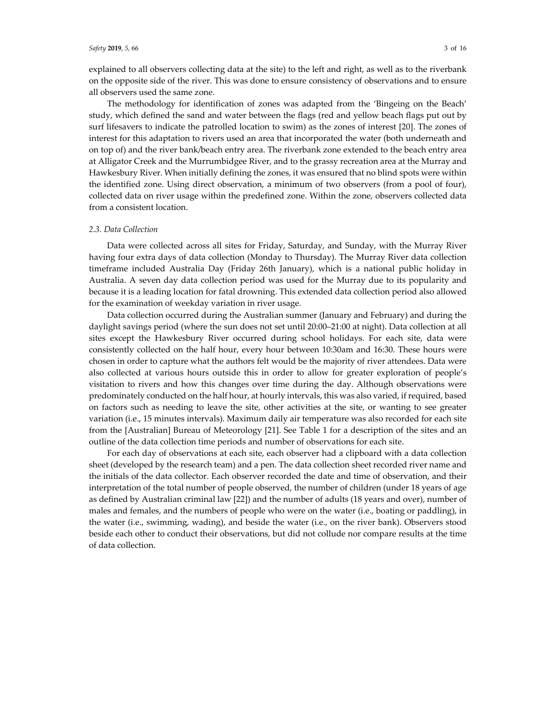explained to all observers collecting data at the site) to the left and right, as well as to the riverbank on the opposite side of the river. This was done to ensure consistency of observations and to ensure all observers used the same zone.

The methodology for identification of zones was adapted from the 'Bingeing on the Beach' study, which defined the sand and water between the flags (red and yellow beach flags put out by surf lifesavers to indicate the patrolled location to swim) as the zones of interest [20]. The zones of interest for this adaptation to rivers used an area that incorporated the water (both underneath and on top of) and the river bank/beach entry area. The riverbank zone extended to the beach entry area at Alligator Creek and the Murrumbidgee River, and to the grassy recreation area at the Murray and Hawkesbury River. When initially defining the zones, it was ensured that no blind spots were within the identified zone. Using direct observation, a minimum of two observers (from a pool of four), collected data on river usage within the predefined zone. Within the zone, observers collected data from a consistent location.

#### *2.3. Data Collection*

Data were collected across all sites for Friday, Saturday, and Sunday, with the Murray River having four extra days of data collection (Monday to Thursday). The Murray River data collection timeframe included Australia Day (Friday 26th January), which is a national public holiday in Australia. A seven day data collection period was used for the Murray due to its popularity and because it is a leading location for fatal drowning. This extended data collection period also allowed for the examination of weekday variation in river usage.

Data collection occurred during the Australian summer (January and February) and during the daylight savings period (where the sun does not set until 20:00–21:00 at night). Data collection at all sites except the Hawkesbury River occurred during school holidays. For each site, data were consistently collected on the half hour, every hour between 10:30am and 16:30. These hours were chosen in order to capture what the authors felt would be the majority of river attendees. Data were also collected at various hours outside this in order to allow for greater exploration of people's visitation to rivers and how this changes over time during the day. Although observations were predominately conducted on the half hour, at hourly intervals, this was also varied, if required, based on factors such as needing to leave the site, other activities at the site, or wanting to see greater variation (i.e., 15 minutes intervals). Maximum daily air temperature was also recorded for each site from the [Australian] Bureau of Meteorology [21]. See Table 1 for a description of the sites and an outline of the data collection time periods and number of observations for each site.

For each day of observations at each site, each observer had a clipboard with a data collection sheet (developed by the research team) and a pen. The data collection sheet recorded river name and the initials of the data collector. Each observer recorded the date and time of observation, and their interpretation of the total number of people observed, the number of children (under 18 years of age as defined by Australian criminal law [22]) and the number of adults (18 years and over), number of males and females, and the numbers of people who were on the water (i.e., boating or paddling), in the water (i.e., swimming, wading), and beside the water (i.e., on the river bank). Observers stood beside each other to conduct their observations, but did not collude nor compare results at the time of data collection.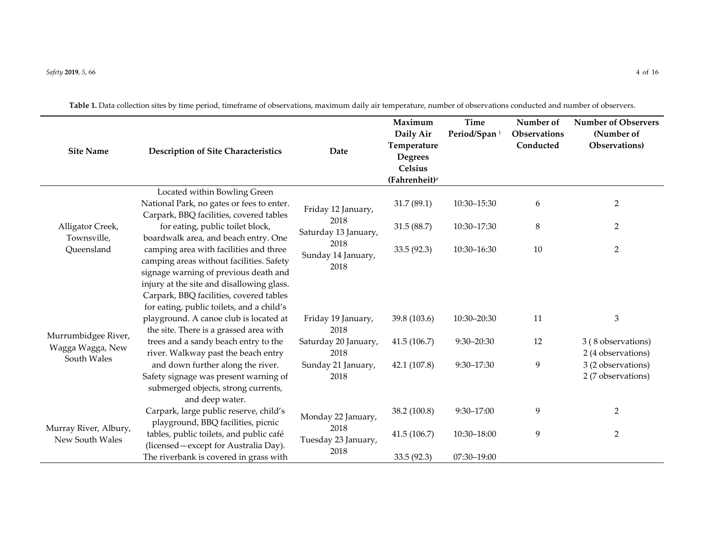**Site Name Description of Site Characteristics Date Maximum Daily Air Temperature Degrees Celsius (Fahrenheit)# Time Period/Span** <sup>1</sup> **Number of Observations Conducted Number of Observers (Number of Observations)**  Alligator Creek, Townsville, Queensland Located within Bowling Green National Park, no gates or fees to enter. Carpark, BBQ facilities, covered tables for eating, public toilet block, boardwalk area, and beach entry. One camping area with facilities and three camping areas without facilities. Safety signage warning of previous death and injury at the site and disallowing glass. Friday 12 January, 2018 Saturday 13 January, 2018 Sunday 14 January, 2018 31.7 (89.1) 31.5 (88.7) 33.5 (92.3) 10:30–15:30 10:30–17:30 10:30–16:30 6 8 10 2 2 2 Murrumbidgee River, Wagga Wagga, New South Wales Carpark, BBQ facilities, covered tables for eating, public toilets, and a child's playground. A canoe club is located at the site. There is a grassed area with trees and a sandy beach entry to the river. Walkway past the beach entry and down further along the river. Safety signage was present warning of submerged objects, strong currents, and deep water. Friday 19 January, 2018 Saturday 20 January, 2018 Sunday 21 January, 2018 39.8 (103.6) 41.5 (106.7) 42.1 (107.8) 10:30–20:30 9:30–20:30 9:30–17:30 11 12 9 3 3 ( 8 observations) 2 (4 observations) 3 (2 observations) 2 (7 observations) Murray River, Albury, New South Wales Carpark, large public reserve, child's playground, BBQ facilities, picnic tables, public toilets, and public café (licensed—except for Australia Day). The riverbank is covered in grass with Monday 22 January, 2018 Tuesday 23 January, 2018 38.2 (100.8) 41.5 (106.7) 33.5 (92.3) 9:30–17:00 10:30–18:00 07:30–19:00 9 9 2 2

**Table 1.** Data collection sites by time period, timeframe of observations, maximum daily air temperature, number of observations conducted and number of observers.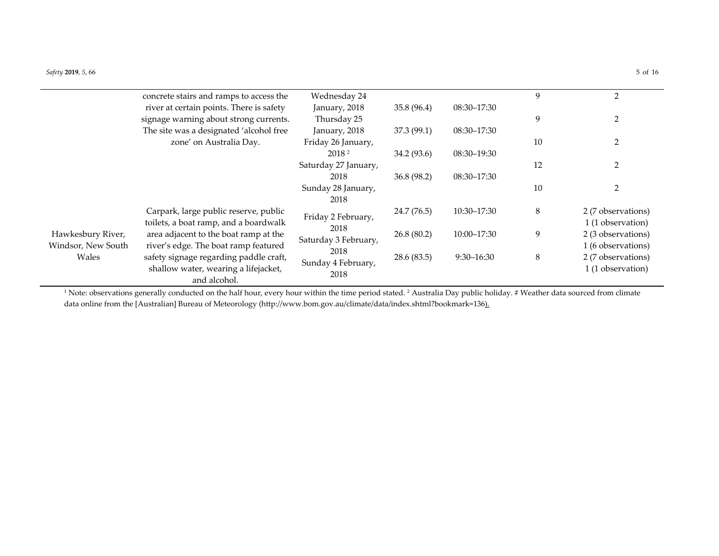|                    | concrete stairs and ramps to access the  | Wednesday 24         |             |                 | 9  |                    |
|--------------------|------------------------------------------|----------------------|-------------|-----------------|----|--------------------|
|                    | river at certain points. There is safety | January, 2018        | 35.8 (96.4) | $08:30 - 17:30$ |    |                    |
|                    | signage warning about strong currents.   | Thursday 25          |             |                 | 9  | $\overline{2}$     |
|                    | The site was a designated 'alcohol free  | January, 2018        | 37.3 (99.1) | $08:30 - 17:30$ |    |                    |
|                    | zone' on Australia Day.                  | Friday 26 January,   |             |                 | 10 | $\overline{2}$     |
|                    |                                          | 2018 <sup>2</sup>    | 34.2 (93.6) | 08:30-19:30     |    |                    |
|                    |                                          | Saturday 27 January, |             |                 | 12 | 2                  |
|                    |                                          | 2018                 | 36.8 (98.2) | $08:30 - 17:30$ |    |                    |
|                    |                                          | Sunday 28 January,   |             |                 | 10 | 2                  |
|                    |                                          | 2018                 |             |                 |    |                    |
|                    | Carpark, large public reserve, public    | Friday 2 February,   | 24.7 (76.5) | 10:30-17:30     | 8  | 2 (7 observations) |
|                    | toilets, a boat ramp, and a boardwalk    | 2018                 |             |                 |    | 1 (1 observation)  |
| Hawkesbury River,  | area adjacent to the boat ramp at the    | Saturday 3 February, | 26.8(80.2)  | 10:00-17:30     | 9  | 2 (3 observations) |
| Windsor, New South | river's edge. The boat ramp featured     | 2018                 |             |                 |    | 1 (6 observations) |
| Wales              | safety signage regarding paddle craft,   | Sunday 4 February,   | 28.6(83.5)  | $9:30 - 16:30$  | 8  | 2 (7 observations) |
|                    | shallow water, wearing a lifejacket,     | 2018                 |             |                 |    | 1 (1 observation)  |
|                    | and alcohol.                             |                      |             |                 |    |                    |

<sup>1</sup> Note: observations generally conducted on the half hour, every hour within the time period stated. <sup>2</sup> Australia Day public holiday. # Weather data sourced from climate data online from the [Australian] Bureau of Meteorology (http://www.bom.gov.au/climate/data/index.shtml?bookmark=136).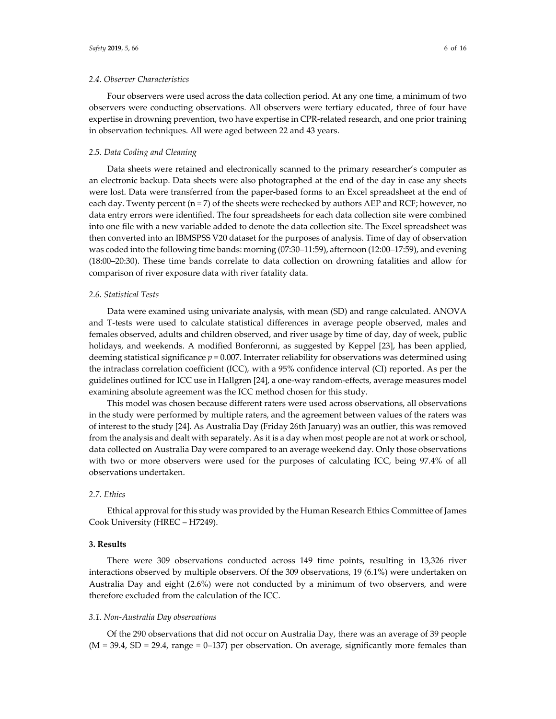### *2.4. Observer Characteristics*

Four observers were used across the data collection period. At any one time, a minimum of two observers were conducting observations. All observers were tertiary educated, three of four have expertise in drowning prevention, two have expertise in CPR-related research, and one prior training in observation techniques. All were aged between 22 and 43 years.

#### *2.5. Data Coding and Cleaning*

Data sheets were retained and electronically scanned to the primary researcher's computer as an electronic backup. Data sheets were also photographed at the end of the day in case any sheets were lost. Data were transferred from the paper-based forms to an Excel spreadsheet at the end of each day. Twenty percent (n = 7) of the sheets were rechecked by authors AEP and RCF; however, no data entry errors were identified. The four spreadsheets for each data collection site were combined into one file with a new variable added to denote the data collection site. The Excel spreadsheet was then converted into an IBMSPSS V20 dataset for the purposes of analysis. Time of day of observation was coded into the following time bands: morning (07:30–11:59), afternoon (12:00–17:59), and evening (18:00–20:30). These time bands correlate to data collection on drowning fatalities and allow for comparison of river exposure data with river fatality data.

## *2.6. Statistical Tests*

Data were examined using univariate analysis, with mean (SD) and range calculated. ANOVA and T-tests were used to calculate statistical differences in average people observed, males and females observed, adults and children observed, and river usage by time of day, day of week, public holidays, and weekends. A modified Bonferonni, as suggested by Keppel [23], has been applied, deeming statistical significance  $p = 0.007$ . Interrater reliability for observations was determined using the intraclass correlation coefficient (ICC), with a 95% confidence interval (CI) reported. As per the guidelines outlined for ICC use in Hallgren [24], a one-way random-effects, average measures model examining absolute agreement was the ICC method chosen for this study.

This model was chosen because different raters were used across observations, all observations in the study were performed by multiple raters, and the agreement between values of the raters was of interest to the study [24]. As Australia Day (Friday 26th January) was an outlier, this was removed from the analysis and dealt with separately. As it is a day when most people are not at work or school, data collected on Australia Day were compared to an average weekend day. Only those observations with two or more observers were used for the purposes of calculating ICC, being 97.4% of all observations undertaken.

## *2.7. Ethics*

Ethical approval for this study was provided by the Human Research Ethics Committee of James Cook University (HREC – H7249).

## **3. Results**

There were 309 observations conducted across 149 time points, resulting in 13,326 river interactions observed by multiple observers. Of the 309 observations, 19 (6.1%) were undertaken on Australia Day and eight (2.6%) were not conducted by a minimum of two observers, and were therefore excluded from the calculation of the ICC.

#### *3.1. Non-Australia Day observations*

Of the 290 observations that did not occur on Australia Day, there was an average of 39 people  $(M = 39.4, SD = 29.4, range = 0-137)$  per observation. On average, significantly more females than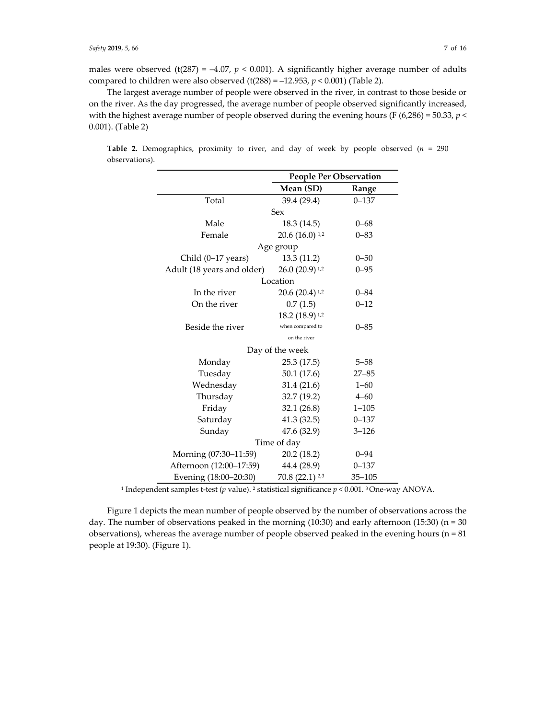males were observed (t(287) =  $-4.07$ ,  $p < 0.001$ ). A significantly higher average number of adults compared to children were also observed  $(t(288) = -12.953, p < 0.001)$  (Table 2).

The largest average number of people were observed in the river, in contrast to those beside or on the river. As the day progressed, the average number of people observed significantly increased, with the highest average number of people observed during the evening hours (F  $(6,286) = 50.33$ ,  $p <$ 0.001). (Table 2)

**Table 2.** Demographics, proximity to river, and day of week by people observed (*n* = 290 observations).

|                            | <b>People Per Observation</b> |            |  |  |  |
|----------------------------|-------------------------------|------------|--|--|--|
|                            | Mean (SD)                     | Range      |  |  |  |
| Total                      | 39.4 (29.4)                   | $0 - 137$  |  |  |  |
| Sex                        |                               |            |  |  |  |
| Male                       | 18.3(14.5)                    | $0 - 68$   |  |  |  |
| Female                     | $20.6(16.0)^{1,2}$            | $0 - 83$   |  |  |  |
|                            | Age group                     |            |  |  |  |
| Child (0-17 years)         | 13.3(11.2)                    | $0 - 50$   |  |  |  |
| Adult (18 years and older) | $26.0(20.9)^{1,2}$            | $0 - 95$   |  |  |  |
|                            | Location                      |            |  |  |  |
| In the river               | $20.6(20.4)^{1,2}$            | $0 - 84$   |  |  |  |
| On the river               | 0.7(1.5)                      | $0 - 12$   |  |  |  |
|                            | 18.2 (18.9) 1,2               |            |  |  |  |
| Beside the river           | when compared to              | $0 - 85$   |  |  |  |
|                            | on the river                  |            |  |  |  |
| Day of the week            |                               |            |  |  |  |
| Monday                     | 25.3(17.5)                    | $5 - 58$   |  |  |  |
| Tuesday                    | 50.1(17.6)                    | $27 - 85$  |  |  |  |
| Wednesday                  | 31.4(21.6)                    | $1 - 60$   |  |  |  |
| Thursday                   | 32.7(19.2)                    | $4 - 60$   |  |  |  |
| Friday                     | 32.1(26.8)                    | $1 - 105$  |  |  |  |
| Saturday                   | 41.3(32.5)                    | $0 - 137$  |  |  |  |
| Sunday                     | 47.6 (32.9)                   | $3 - 126$  |  |  |  |
| Time of day                |                               |            |  |  |  |
| Morning (07:30-11:59)      | 20.2 (18.2)                   | $0 - 94$   |  |  |  |
| Afternoon (12:00-17:59)    | 44.4 (28.9)                   | $0 - 137$  |  |  |  |
| Evening (18:00-20:30)      | $70.8(22.1)^{2,3}$            | $35 - 105$ |  |  |  |

<sup>1</sup> Independent samples t-test (*p* value). <sup>2</sup> statistical significance *p* < 0.001. <sup>3</sup> One-way ANOVA.

Figure 1 depicts the mean number of people observed by the number of observations across the day. The number of observations peaked in the morning  $(10:30)$  and early afternoon  $(15:30)$  (n = 30 observations), whereas the average number of people observed peaked in the evening hours ( $n = 81$ ) people at 19:30). (Figure 1).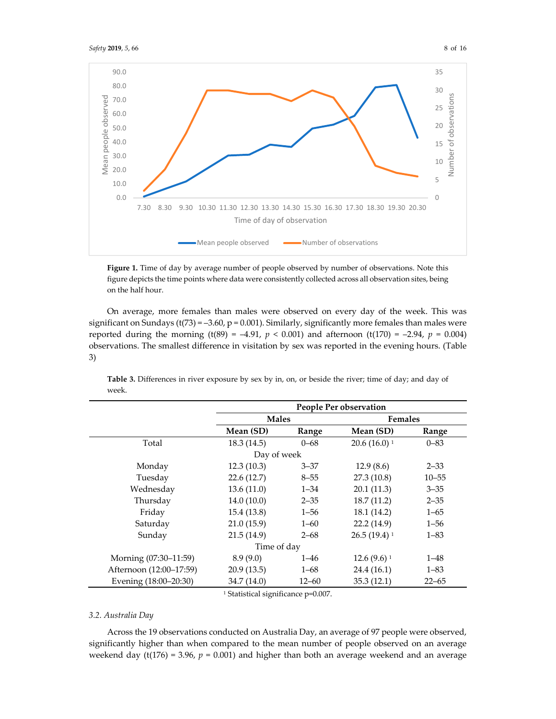

**Figure 1.** Time of day by average number of people observed by number of observations. Note this figure depicts the time points where data were consistently collected across all observation sites, being on the half hour.

On average, more females than males were observed on every day of the week. This was significant on Sundays ( $t(73) = -3.60$ ,  $p = 0.001$ ). Similarly, significantly more females than males were reported during the morning (t(89) = -4.91,  $p < 0.001$ ) and afternoon (t(170) = -2.94,  $p = 0.004$ ) observations. The smallest difference in visitation by sex was reported in the evening hours. (Table 3)

|                         | People Per observation |          |                 |           |  |  |
|-------------------------|------------------------|----------|-----------------|-----------|--|--|
|                         | <b>Males</b>           |          | <b>Females</b>  |           |  |  |
|                         | Mean (SD)              | Range    | Mean (SD)       | Range     |  |  |
| Total                   | 18.3(14.5)             | $0 - 68$ | $20.6(16.0)^1$  | $0 - 83$  |  |  |
|                         | Day of week            |          |                 |           |  |  |
| Monday                  | 12.3(10.3)             | $3 - 37$ | 12.9(8.6)       | $2 - 33$  |  |  |
| Tuesday                 | 22.6(12.7)             | $8 - 55$ | 27.3(10.8)      | $10 - 55$ |  |  |
| Wednesday               | 13.6(11.0)             | $1 - 34$ | 20.1(11.3)      | $3 - 35$  |  |  |
| Thursday                | 14.0(10.0)             | $2 - 35$ | 18.7(11.2)      | $2 - 35$  |  |  |
| Friday                  | 15.4(13.8)             | $1 - 56$ | 18.1(14.2)      | $1 - 65$  |  |  |
| Saturday                | 21.0(15.9)             | $1 - 60$ | 22.2(14.9)      | $1 - 56$  |  |  |
| Sunday                  | 21.5(14.9)             | $2 - 68$ | $26.5(19.4)^1$  | $1 - 83$  |  |  |
| Time of day             |                        |          |                 |           |  |  |
| Morning (07:30-11:59)   | 8.9(9.0)               | $1 - 46$ | $12.6(9.6)^{1}$ | $1 - 48$  |  |  |
| Afternoon (12:00-17:59) | 20.9(13.5)             | $1 - 68$ | 24.4 (16.1)     | $1 - 83$  |  |  |
| Evening (18:00-20:30)   | 34.7 (14.0)            | 12–60    | 35.3(12.1)      | $22 - 65$ |  |  |
|                         |                        |          |                 |           |  |  |

**Table 3.** Differences in river exposure by sex by in, on, or beside the river; time of day; and day of week.

1 Statistical significance p=0.007.

#### *3.2. Australia Day*

Across the 19 observations conducted on Australia Day, an average of 97 people were observed, significantly higher than when compared to the mean number of people observed on an average weekend day ( $t(176) = 3.96$ ,  $p = 0.001$ ) and higher than both an average weekend and an average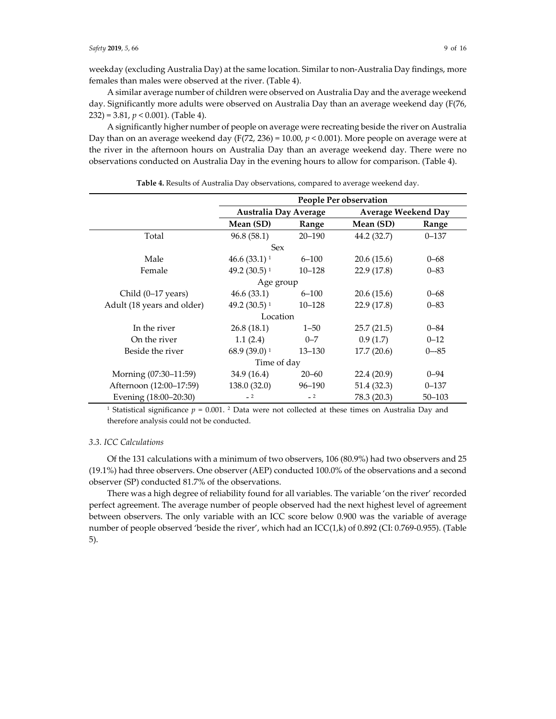weekday (excluding Australia Day) at the same location. Similar to non-Australia Day findings, more females than males were observed at the river. (Table 4).

A similar average number of children were observed on Australia Day and the average weekend day. Significantly more adults were observed on Australia Day than an average weekend day (F(76, 232) = 3.81, *p* < 0.001). (Table 4).

A significantly higher number of people on average were recreating beside the river on Australia Day than on an average weekend day (F(72, 236) = 10.00,  $p < 0.001$ ). More people on average were at the river in the afternoon hours on Australia Day than an average weekend day. There were no observations conducted on Australia Day in the evening hours to allow for comparison. (Table 4).

|                            | People Per observation       |            |                            |            |  |  |
|----------------------------|------------------------------|------------|----------------------------|------------|--|--|
|                            | <b>Australia Day Average</b> |            | <b>Average Weekend Day</b> |            |  |  |
|                            | Mean (SD)                    | Range      | Mean (SD)                  | Range      |  |  |
| Total                      | 96.8(58.1)                   | $20 - 190$ | 44.2 (32.7)                | $0 - 137$  |  |  |
|                            | Sex                          |            |                            |            |  |  |
| Male                       | $46.6(33.1)^{1}$             | $6 - 100$  | 20.6(15.6)                 | $0 - 68$   |  |  |
| Female                     | 49.2 (30.5) $1$              | $10 - 128$ | 22.9(17.8)                 | $0 - 83$   |  |  |
|                            | Age group                    |            |                            |            |  |  |
| Child (0-17 years)         | 46.6(33.1)                   | $6 - 100$  | 20.6(15.6)                 | $0 - 68$   |  |  |
| Adult (18 years and older) | 49.2 (30.5) $^1$             | $10 - 128$ | 22.9(17.8)                 | $0 - 83$   |  |  |
| Location                   |                              |            |                            |            |  |  |
| In the river               | 26.8(18.1)                   | $1 - 50$   | 25.7(21.5)                 | $0 - 84$   |  |  |
| On the river               | 1.1(2.4)                     | $0 - 7$    | 0.9(1.7)                   | $0 - 12$   |  |  |
| Beside the river           | 68.9 (39.0) 1                | 13–130     | 17.7(20.6)                 | $0 - 85$   |  |  |
| Time of day                |                              |            |                            |            |  |  |
| Morning (07:30–11:59)      | 34.9 (16.4)                  | $20 - 60$  | 22.4 (20.9)                | $0 - 94$   |  |  |
| Afternoon (12:00-17:59)    | 138.0(32.0)                  | $96 - 190$ | 51.4 (32.3)                | $0 - 137$  |  |  |
| Evening (18:00-20:30)      | $-2$                         | $-2$       | 78.3 (20.3)                | $50 - 103$ |  |  |

**Table 4.** Results of Australia Day observations, compared to average weekend day.

<sup>1</sup> Statistical significance  $p = 0.001$ . <sup>2</sup> Data were not collected at these times on Australia Day and therefore analysis could not be conducted.

#### *3.3. ICC Calculations*

Of the 131 calculations with a minimum of two observers, 106 (80.9%) had two observers and 25 (19.1%) had three observers. One observer (AEP) conducted 100.0% of the observations and a second observer (SP) conducted 81.7% of the observations.

There was a high degree of reliability found for all variables. The variable 'on the river' recorded perfect agreement. The average number of people observed had the next highest level of agreement between observers. The only variable with an ICC score below 0.900 was the variable of average number of people observed 'beside the river', which had an ICC(1,k) of 0.892 (CI: 0.769-0.955). (Table 5).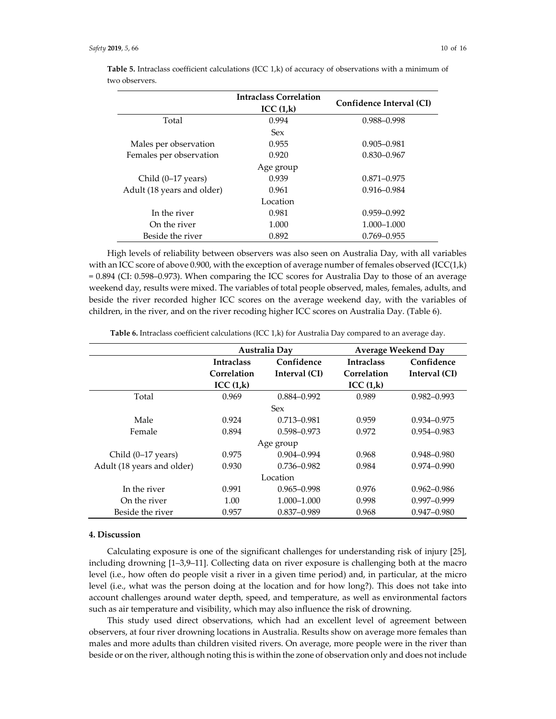|                            | <b>Intraclass Correlation</b><br>ICC(1,k) | Confidence Interval (CI) |  |  |  |  |
|----------------------------|-------------------------------------------|--------------------------|--|--|--|--|
| Total                      | 0.994                                     | 0.988-0.998              |  |  |  |  |
|                            | <b>Sex</b>                                |                          |  |  |  |  |
| Males per observation      | 0.955                                     | $0.905 - 0.981$          |  |  |  |  |
| Females per observation    | 0.920                                     | $0.830 - 0.967$          |  |  |  |  |
| Age group                  |                                           |                          |  |  |  |  |
| Child (0–17 years)         | 0.939                                     | $0.871 - 0.975$          |  |  |  |  |
| Adult (18 years and older) | 0.961                                     | $0.916 - 0.984$          |  |  |  |  |
|                            | Location                                  |                          |  |  |  |  |
| In the river               | 0.981                                     | $0.959 - 0.992$          |  |  |  |  |
| On the river               | 1.000                                     | 1.000-1.000              |  |  |  |  |
| Beside the river           | 0.892                                     | $0.769 - 0.955$          |  |  |  |  |

**Table 5.** Intraclass coefficient calculations (ICC 1,k) of accuracy of observations with a minimum of two observers.

High levels of reliability between observers was also seen on Australia Day, with all variables with an ICC score of above 0.900, with the exception of average number of females observed  $(ICC(1,k)$ = 0.894 (CI: 0.598–0.973). When comparing the ICC scores for Australia Day to those of an average weekend day, results were mixed. The variables of total people observed, males, females, adults, and beside the river recorded higher ICC scores on the average weekend day, with the variables of children, in the river, and on the river recoding higher ICC scores on Australia Day. (Table 6).

|                            | Australia Day     |                 | <b>Average Weekend Day</b> |                 |  |  |  |
|----------------------------|-------------------|-----------------|----------------------------|-----------------|--|--|--|
|                            | <b>Intraclass</b> | Confidence      | <b>Intraclass</b>          | Confidence      |  |  |  |
|                            | Correlation       | Interval (CI)   | Correlation                | Interval (CI)   |  |  |  |
|                            | ICC(1,k)          |                 | ICC(1,k)                   |                 |  |  |  |
| Total                      | 0.969             | $0.884 - 0.992$ | 0.989                      | $0.982 - 0.993$ |  |  |  |
|                            |                   | Sex             |                            |                 |  |  |  |
| Male                       | 0.924             | $0.713 - 0.981$ | 0.959                      | $0.934 - 0.975$ |  |  |  |
| Female                     | 0.894             | $0.598 - 0.973$ | 0.972                      | $0.954 - 0.983$ |  |  |  |
| Age group                  |                   |                 |                            |                 |  |  |  |
| Child (0-17 years)         | 0.975             | $0.904 - 0.994$ | 0.968                      | $0.948 - 0.980$ |  |  |  |
| Adult (18 years and older) | 0.930             | $0.736 - 0.982$ | 0.984                      | $0.974 - 0.990$ |  |  |  |
| Location                   |                   |                 |                            |                 |  |  |  |
| In the river               | 0.991             | $0.965 - 0.998$ | 0.976                      | $0.962 - 0.986$ |  |  |  |
| On the river               | 1.00              | 1.000-1.000     | 0.998                      | $0.997 - 0.999$ |  |  |  |
| Beside the river           | 0.957             | $0.837 - 0.989$ | 0.968                      | $0.947 - 0.980$ |  |  |  |

**Table 6.** Intraclass coefficient calculations (ICC 1,k) for Australia Day compared to an average day.

#### **4. Discussion**

Calculating exposure is one of the significant challenges for understanding risk of injury [25], including drowning [1–3,9–11]. Collecting data on river exposure is challenging both at the macro level (i.e., how often do people visit a river in a given time period) and, in particular, at the micro level (i.e., what was the person doing at the location and for how long?). This does not take into account challenges around water depth, speed, and temperature, as well as environmental factors such as air temperature and visibility, which may also influence the risk of drowning.

This study used direct observations, which had an excellent level of agreement between observers, at four river drowning locations in Australia. Results show on average more females than males and more adults than children visited rivers. On average, more people were in the river than beside or on the river, although noting this is within the zone of observation only and does not include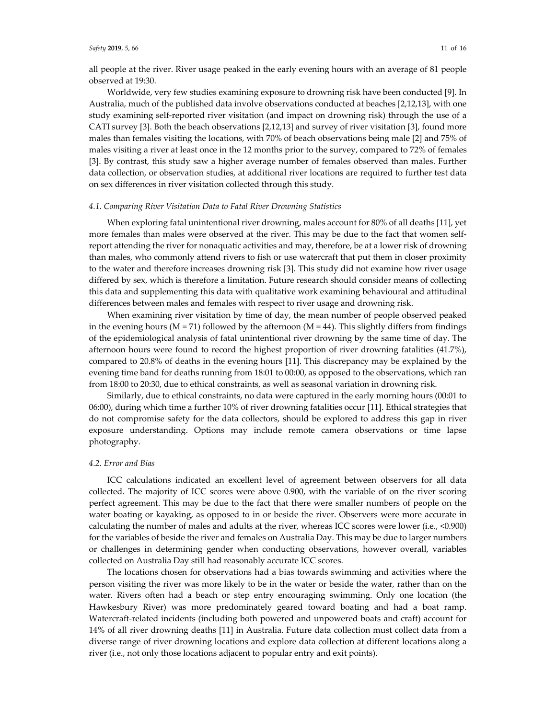all people at the river. River usage peaked in the early evening hours with an average of 81 people observed at 19:30.

Worldwide, very few studies examining exposure to drowning risk have been conducted [9]. In Australia, much of the published data involve observations conducted at beaches [2,12,13], with one study examining self-reported river visitation (and impact on drowning risk) through the use of a CATI survey [3]. Both the beach observations [2,12,13] and survey of river visitation [3], found more males than females visiting the locations, with 70% of beach observations being male [2] and 75% of males visiting a river at least once in the 12 months prior to the survey, compared to 72% of females [3]. By contrast, this study saw a higher average number of females observed than males. Further data collection, or observation studies, at additional river locations are required to further test data on sex differences in river visitation collected through this study.

#### *4.1. Comparing River Visitation Data to Fatal River Drowning Statistics*

When exploring fatal unintentional river drowning, males account for 80% of all deaths [11], yet more females than males were observed at the river. This may be due to the fact that women selfreport attending the river for nonaquatic activities and may, therefore, be at a lower risk of drowning than males, who commonly attend rivers to fish or use watercraft that put them in closer proximity to the water and therefore increases drowning risk [3]. This study did not examine how river usage differed by sex, which is therefore a limitation. Future research should consider means of collecting this data and supplementing this data with qualitative work examining behavioural and attitudinal differences between males and females with respect to river usage and drowning risk.

When examining river visitation by time of day, the mean number of people observed peaked in the evening hours ( $M = 71$ ) followed by the afternoon ( $M = 44$ ). This slightly differs from findings of the epidemiological analysis of fatal unintentional river drowning by the same time of day. The afternoon hours were found to record the highest proportion of river drowning fatalities (41.7%), compared to 20.8% of deaths in the evening hours [11]. This discrepancy may be explained by the evening time band for deaths running from 18:01 to 00:00, as opposed to the observations, which ran from 18:00 to 20:30, due to ethical constraints, as well as seasonal variation in drowning risk.

Similarly, due to ethical constraints, no data were captured in the early morning hours (00:01 to 06:00), during which time a further 10% of river drowning fatalities occur [11]. Ethical strategies that do not compromise safety for the data collectors, should be explored to address this gap in river exposure understanding. Options may include remote camera observations or time lapse photography.

## *4.2. Error and Bias*

ICC calculations indicated an excellent level of agreement between observers for all data collected. The majority of ICC scores were above 0.900, with the variable of on the river scoring perfect agreement. This may be due to the fact that there were smaller numbers of people on the water boating or kayaking, as opposed to in or beside the river. Observers were more accurate in calculating the number of males and adults at the river, whereas ICC scores were lower (i.e., <0.900) for the variables of beside the river and females on Australia Day. This may be due to larger numbers or challenges in determining gender when conducting observations, however overall, variables collected on Australia Day still had reasonably accurate ICC scores.

The locations chosen for observations had a bias towards swimming and activities where the person visiting the river was more likely to be in the water or beside the water, rather than on the water. Rivers often had a beach or step entry encouraging swimming. Only one location (the Hawkesbury River) was more predominately geared toward boating and had a boat ramp. Watercraft-related incidents (including both powered and unpowered boats and craft) account for 14% of all river drowning deaths [11] in Australia. Future data collection must collect data from a diverse range of river drowning locations and explore data collection at different locations along a river (i.e., not only those locations adjacent to popular entry and exit points).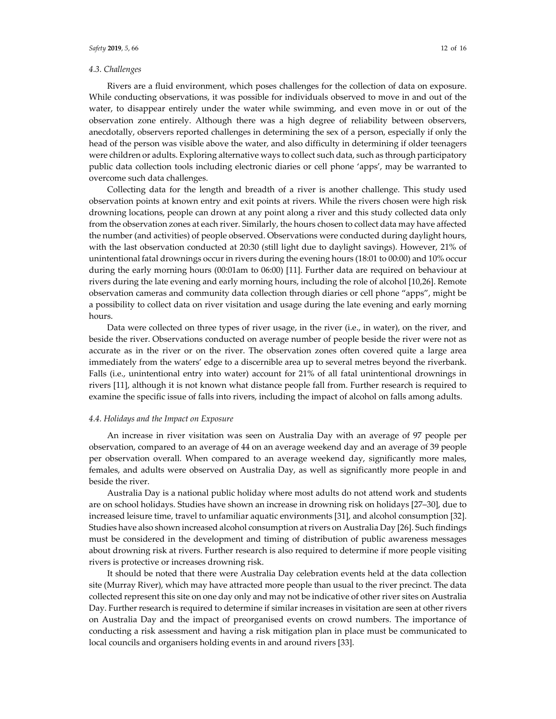Rivers are a fluid environment, which poses challenges for the collection of data on exposure. While conducting observations, it was possible for individuals observed to move in and out of the water, to disappear entirely under the water while swimming, and even move in or out of the observation zone entirely. Although there was a high degree of reliability between observers, anecdotally, observers reported challenges in determining the sex of a person, especially if only the head of the person was visible above the water, and also difficulty in determining if older teenagers were children or adults. Exploring alternative ways to collect such data, such as through participatory public data collection tools including electronic diaries or cell phone 'apps', may be warranted to overcome such data challenges.

Collecting data for the length and breadth of a river is another challenge. This study used observation points at known entry and exit points at rivers. While the rivers chosen were high risk drowning locations, people can drown at any point along a river and this study collected data only from the observation zones at each river. Similarly, the hours chosen to collect data may have affected the number (and activities) of people observed. Observations were conducted during daylight hours, with the last observation conducted at 20:30 (still light due to daylight savings). However, 21% of unintentional fatal drownings occur in rivers during the evening hours (18:01 to 00:00) and 10% occur during the early morning hours (00:01am to 06:00) [11]. Further data are required on behaviour at rivers during the late evening and early morning hours, including the role of alcohol [10,26]. Remote observation cameras and community data collection through diaries or cell phone "apps", might be a possibility to collect data on river visitation and usage during the late evening and early morning hours.

Data were collected on three types of river usage, in the river (i.e., in water), on the river, and beside the river. Observations conducted on average number of people beside the river were not as accurate as in the river or on the river. The observation zones often covered quite a large area immediately from the waters' edge to a discernible area up to several metres beyond the riverbank. Falls (i.e., unintentional entry into water) account for 21% of all fatal unintentional drownings in rivers [11], although it is not known what distance people fall from. Further research is required to examine the specific issue of falls into rivers, including the impact of alcohol on falls among adults.

#### *4.4. Holidays and the Impact on Exposure*

An increase in river visitation was seen on Australia Day with an average of 97 people per observation, compared to an average of 44 on an average weekend day and an average of 39 people per observation overall. When compared to an average weekend day, significantly more males, females, and adults were observed on Australia Day, as well as significantly more people in and beside the river.

Australia Day is a national public holiday where most adults do not attend work and students are on school holidays. Studies have shown an increase in drowning risk on holidays [27–30], due to increased leisure time, travel to unfamiliar aquatic environments [31], and alcohol consumption [32]. Studies have also shown increased alcohol consumption at rivers on Australia Day [26]. Such findings must be considered in the development and timing of distribution of public awareness messages about drowning risk at rivers. Further research is also required to determine if more people visiting rivers is protective or increases drowning risk.

It should be noted that there were Australia Day celebration events held at the data collection site (Murray River), which may have attracted more people than usual to the river precinct. The data collected represent this site on one day only and may not be indicative of other river sites on Australia Day. Further research is required to determine if similar increases in visitation are seen at other rivers on Australia Day and the impact of preorganised events on crowd numbers. The importance of conducting a risk assessment and having a risk mitigation plan in place must be communicated to local councils and organisers holding events in and around rivers [33].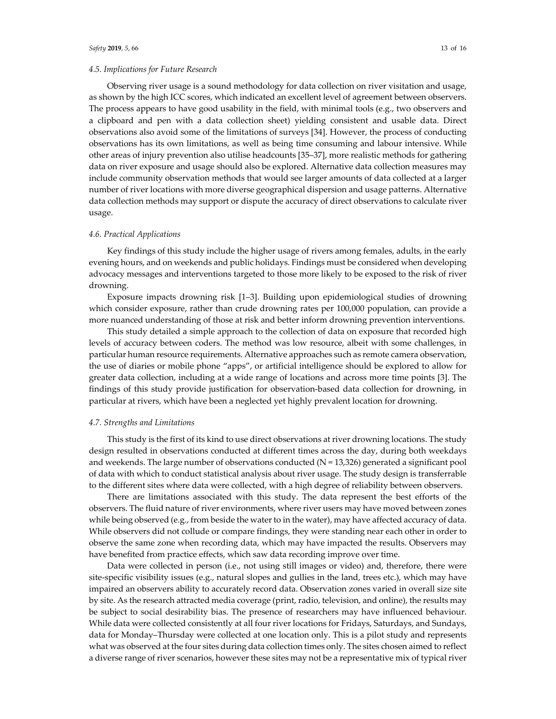## *4.5. Implications for Future Research*

Observing river usage is a sound methodology for data collection on river visitation and usage, as shown by the high ICC scores, which indicated an excellent level of agreement between observers. The process appears to have good usability in the field, with minimal tools (e.g., two observers and a clipboard and pen with a data collection sheet) yielding consistent and usable data. Direct observations also avoid some of the limitations of surveys [34]. However, the process of conducting observations has its own limitations, as well as being time consuming and labour intensive. While other areas of injury prevention also utilise headcounts [35–37], more realistic methods for gathering data on river exposure and usage should also be explored. Alternative data collection measures may include community observation methods that would see larger amounts of data collected at a larger number of river locations with more diverse geographical dispersion and usage patterns. Alternative data collection methods may support or dispute the accuracy of direct observations to calculate river usage.

#### *4.6. Practical Applications*

Key findings of this study include the higher usage of rivers among females, adults, in the early evening hours, and on weekends and public holidays. Findings must be considered when developing advocacy messages and interventions targeted to those more likely to be exposed to the risk of river drowning.

Exposure impacts drowning risk [1–3]. Building upon epidemiological studies of drowning which consider exposure, rather than crude drowning rates per 100,000 population, can provide a more nuanced understanding of those at risk and better inform drowning prevention interventions.

This study detailed a simple approach to the collection of data on exposure that recorded high levels of accuracy between coders. The method was low resource, albeit with some challenges, in particular human resource requirements. Alternative approaches such as remote camera observation, the use of diaries or mobile phone "apps", or artificial intelligence should be explored to allow for greater data collection, including at a wide range of locations and across more time points [3]. The findings of this study provide justification for observation-based data collection for drowning, in particular at rivers, which have been a neglected yet highly prevalent location for drowning.

#### *4.7. Strengths and Limitations*

This study is the first of its kind to use direct observations at river drowning locations. The study design resulted in observations conducted at different times across the day, during both weekdays and weekends. The large number of observations conducted  $(N = 13,326)$  generated a significant pool of data with which to conduct statistical analysis about river usage. The study design is transferrable to the different sites where data were collected, with a high degree of reliability between observers.

There are limitations associated with this study. The data represent the best efforts of the observers. The fluid nature of river environments, where river users may have moved between zones while being observed (e.g., from beside the water to in the water), may have affected accuracy of data. While observers did not collude or compare findings, they were standing near each other in order to observe the same zone when recording data, which may have impacted the results. Observers may have benefited from practice effects, which saw data recording improve over time.

Data were collected in person (i.e., not using still images or video) and, therefore, there were site-specific visibility issues (e.g., natural slopes and gullies in the land, trees etc.), which may have impaired an observers ability to accurately record data. Observation zones varied in overall size site by site. As the research attracted media coverage (print, radio, television, and online), the results may be subject to social desirability bias. The presence of researchers may have influenced behaviour. While data were collected consistently at all four river locations for Fridays, Saturdays, and Sundays, data for Monday–Thursday were collected at one location only. This is a pilot study and represents what was observed at the four sites during data collection times only. The sites chosen aimed to reflect a diverse range of river scenarios, however these sites may not be a representative mix of typical river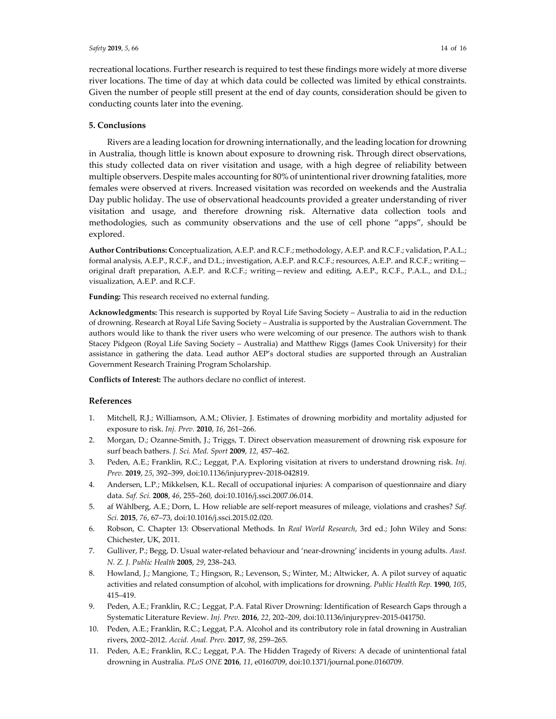recreational locations. Further research is required to test these findings more widely at more diverse river locations. The time of day at which data could be collected was limited by ethical constraints. Given the number of people still present at the end of day counts, consideration should be given to conducting counts later into the evening.

# **5. Conclusions**

Rivers are a leading location for drowning internationally, and the leading location for drowning in Australia, though little is known about exposure to drowning risk. Through direct observations, this study collected data on river visitation and usage, with a high degree of reliability between multiple observers. Despite males accounting for 80% of unintentional river drowning fatalities, more females were observed at rivers. Increased visitation was recorded on weekends and the Australia Day public holiday. The use of observational headcounts provided a greater understanding of river visitation and usage, and therefore drowning risk. Alternative data collection tools and methodologies, such as community observations and the use of cell phone "apps", should be explored.

**Author Contributions: C**onceptualization, A.E.P. and R.C.F.; methodology, A.E.P. and R.C.F.; validation, P.A.L.; formal analysis, A.E.P., R.C.F., and D.L.; investigation, A.E.P. and R.C.F.; resources, A.E.P. and R.C.F.; writing original draft preparation, A.E.P. and R.C.F.; writing—review and editing, A.E.P., R.C.F., P.A.L., and D.L.; visualization, A.E.P. and R.C.F.

**Funding:** This research received no external funding.

**Acknowledgments:** This research is supported by Royal Life Saving Society – Australia to aid in the reduction of drowning. Research at Royal Life Saving Society – Australia is supported by the Australian Government. The authors would like to thank the river users who were welcoming of our presence. The authors wish to thank Stacey Pidgeon (Royal Life Saving Society – Australia) and Matthew Riggs (James Cook University) for their assistance in gathering the data. Lead author AEP's doctoral studies are supported through an Australian Government Research Training Program Scholarship.

**Conflicts of Interest:** The authors declare no conflict of interest.

## **References**

- 1. Mitchell, R.J.; Williamson, A.M.; Olivier, J. Estimates of drowning morbidity and mortality adjusted for exposure to risk. *Inj. Prev.* **2010**, *16*, 261–266.
- 2. Morgan, D.; Ozanne-Smith, J.; Triggs, T. Direct observation measurement of drowning risk exposure for surf beach bathers. *J. Sci. Med. Sport* **2009**, *12*, 457–462.
- 3. Peden, A.E.; Franklin, R.C.; Leggat, P.A. Exploring visitation at rivers to understand drowning risk. *Inj. Prev.* **2019**, *25*, 392–399, doi:10.1136/injuryprev-2018-042819.
- 4. Andersen, L.P.; Mikkelsen, K.L. Recall of occupational injuries: A comparison of questionnaire and diary data. *Saf. Sci.* **2008**, *46*, 255–260, doi:10.1016/j.ssci.2007.06.014.
- 5. af Wåhlberg, A.E.; Dorn, L. How reliable are self-report measures of mileage, violations and crashes? *Saf. Sci.* **2015**, *76*, 67–73, doi:10.1016/j.ssci.2015.02.020.
- 6. Robson, C. Chapter 13: Observational Methods. In *Real World Research*, 3rd ed.; John Wiley and Sons: Chichester, UK, 2011.
- 7. Gulliver, P.; Begg, D. Usual water-related behaviour and 'near-drowning' incidents in young adults. *Aust. N. Z. J. Public Health* **2005**, *29*, 238–243.
- 8. Howland, J.; Mangione, T.; Hingson, R.; Levenson, S.; Winter, M.; Altwicker, A. A pilot survey of aquatic activities and related consumption of alcohol, with implications for drowning. *Public Health Rep.* **1990**, *105*, 415–419.
- 9. Peden, A.E.; Franklin, R.C.; Leggat, P.A. Fatal River Drowning: Identification of Research Gaps through a Systematic Literature Review. *Inj. Prev.* **2016**, *22*, 202–209, doi:10.1136/injuryprev-2015-041750.
- 10. Peden, A.E.; Franklin, R.C.; Leggat, P.A. Alcohol and its contributory role in fatal drowning in Australian rivers, 2002–2012. *Accid. Anal. Prev.* **2017**, *98*, 259–265.
- 11. Peden, A.E.; Franklin, R.C.; Leggat, P.A. The Hidden Tragedy of Rivers: A decade of unintentional fatal drowning in Australia. *PLoS ONE* **2016**, *11*, e0160709, doi:10.1371/journal.pone.0160709.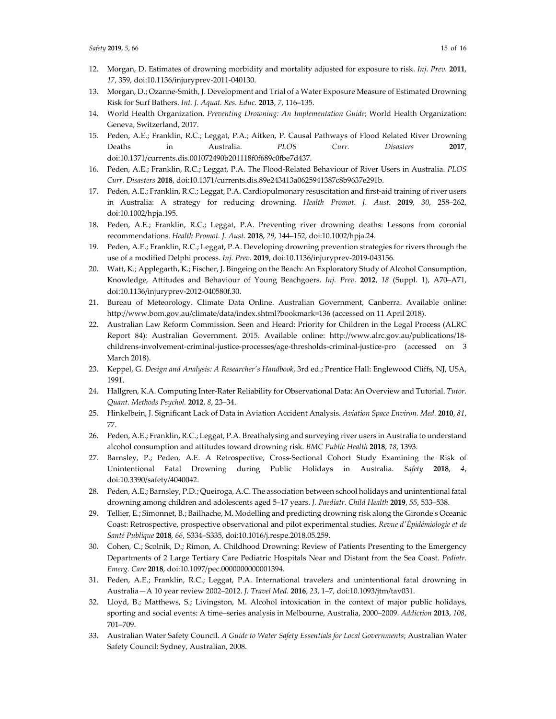- 12. Morgan, D. Estimates of drowning morbidity and mortality adjusted for exposure to risk. *Inj. Prev.* **2011**, *17*, 359, doi:10.1136/injuryprev-2011-040130.
- 13. Morgan, D.; Ozanne-Smith, J. Development and Trial of a Water Exposure Measure of Estimated Drowning Risk for Surf Bathers. *Int. J. Aquat. Res. Educ.* **2013**, *7*, 116–135.
- 14. World Health Organization. *Preventing Drowning: An Implementation Guide*; World Health Organization: Geneva, Switzerland, 2017.
- 15. Peden, A.E.; Franklin, R.C.; Leggat, P.A.; Aitken, P. Causal Pathways of Flood Related River Drowning Deaths in Australia. *PLOS Curr. Disasters* **2017**, doi:10.1371/currents.dis.001072490b201118f0f689c0fbe7d437.
- 16. Peden, A.E.; Franklin, R.C.; Leggat, P.A. The Flood-Related Behaviour of River Users in Australia. *PLOS Curr. Disasters* **2018**, doi:10.1371/currents.dis.89e243413a0625941387c8b9637e291b.
- 17. Peden, A.E.; Franklin, R.C.; Leggat, P.A. Cardiopulmonary resuscitation and first-aid training of river users in Australia: A strategy for reducing drowning. *Health Promot. J. Aust.* **2019**, *30*, 258–262, doi:10.1002/hpja.195.
- 18. Peden, A.E.; Franklin, R.C.; Leggat, P.A. Preventing river drowning deaths: Lessons from coronial recommendations. *Health Promot. J. Aust.* **2018**, *29*, 144–152, doi:10.1002/hpja.24.
- 19. Peden, A.E.; Franklin, R.C.; Leggat, P.A. Developing drowning prevention strategies for rivers through the use of a modified Delphi process. *Inj. Prev.* **2019**, doi:10.1136/injuryprev-2019-043156.
- 20. Watt, K.; Applegarth, K.; Fischer, J. Bingeing on the Beach: An Exploratory Study of Alcohol Consumption, Knowledge, Attitudes and Behaviour of Young Beachgoers. *Inj. Prev.* **2012**, *18* (Suppl. 1), A70–A71, doi:10.1136/injuryprev-2012-040580f.30.
- 21. Bureau of Meteorology. Climate Data Online. Australian Government, Canberra. Available online: http://www.bom.gov.au/climate/data/index.shtml?bookmark=136 (accessed on 11 April 2018).
- 22. Australian Law Reform Commission. Seen and Heard: Priority for Children in the Legal Process (ALRC Report 84): Australian Government. 2015. Available online: http://www.alrc.gov.au/publications/18 childrens-involvement-criminal-justice-processes/age-thresholds-criminal-justice-pro (accessed on 3 March 2018).
- 23. Keppel, G. *Design and Analysis: A Researcher's Handbook*, 3rd ed.; Prentice Hall: Englewood Cliffs, NJ, USA, 1991.
- 24. Hallgren, K.A. Computing Inter-Rater Reliability for Observational Data: An Overview and Tutorial. *Tutor. Quant. Methods Psychol.* **2012**, *8*, 23–34.
- 25. Hinkelbein, J. Significant Lack of Data in Aviation Accident Analysis. *Aviation Space Environ. Med.* **2010**, *81*, 77.
- 26. Peden, A.E.; Franklin, R.C.; Leggat, P.A. Breathalysing and surveying river users in Australia to understand alcohol consumption and attitudes toward drowning risk. *BMC Public Health* **2018**, *18*, 1393.
- 27. Barnsley, P.; Peden, A.E. A Retrospective, Cross-Sectional Cohort Study Examining the Risk of Unintentional Fatal Drowning during Public Holidays in Australia. *Safety* **2018**, *4*, doi:10.3390/safety/4040042.
- 28. Peden, A.E.; Barnsley, P.D.; Queiroga, A.C. The association between school holidays and unintentional fatal drowning among children and adolescents aged 5–17 years. *J. Paediatr. Child Health* **2019**, *55*, 533–538.
- 29. Tellier, E.; Simonnet, B.; Bailhache, M. Modelling and predicting drowning risk along the Gironde's Oceanic Coast: Retrospective, prospective observational and pilot experimental studies. *Revue d'Épidémiologie et de Santé Publique* **2018**, *66*, S334–S335, doi:10.1016/j.respe.2018.05.259.
- 30. Cohen, C.; Scolnik, D.; Rimon, A. Childhood Drowning: Review of Patients Presenting to the Emergency Departments of 2 Large Tertiary Care Pediatric Hospitals Near and Distant from the Sea Coast. *Pediatr. Emerg. Care* **2018**, doi:10.1097/pec.0000000000001394.
- 31. Peden, A.E.; Franklin, R.C.; Leggat, P.A. International travelers and unintentional fatal drowning in Australia*—*A 10 year review 2002–2012. *J. Travel Med.* **2016**, *23*, 1–7, doi:10.1093/jtm/tav031.
- 32. Lloyd, B.; Matthews, S.; Livingston, M. Alcohol intoxication in the context of major public holidays, sporting and social events: A time–series analysis in Melbourne, Australia, 2000–2009. *Addiction* **2013**, *108*, 701–709.
- 33. Australian Water Safety Council. *A Guide to Water Safety Essentials for Local Governments*; Australian Water Safety Council: Sydney, Australian, 2008.